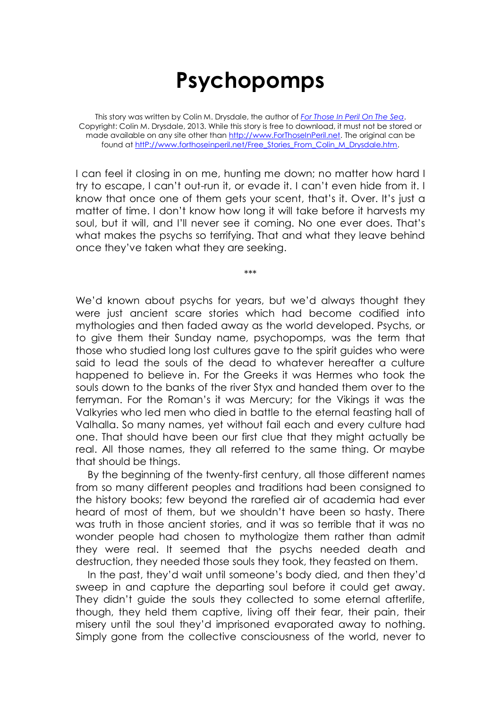## **Psychopomps**

This story was written by Colin M. Drysdale, the author of *[For Those In Peril On The Sea](http://www.forthoseinperil.net/)*. Copyright: Colin M. Drysdale, 2013. While this story is free to download, it must not be stored or made available on any site other than [http://www.ForThoseInPeril.net.](http://www.forthoseinperil.net/) The original can be found at http://www.forthoseinperil.net/Free\_Stories\_From\_Colin\_M\_Drysdale.htm.

I can feel it closing in on me, hunting me down; no matter how hard I try to escape, I can't out-run it, or evade it. I can't even hide from it. I know that once one of them gets your scent, that's it. Over. It's just a matter of time. I don't know how long it will take before it harvests my soul, but it will, and I'll never see it coming. No one ever does. That's what makes the psychs so terrifying. That and what they leave behind once they've taken what they are seeking.

\*\*\*

We'd known about psychs for years, but we'd always thought they were just ancient scare stories which had become codified into mythologies and then faded away as the world developed. Psychs, or to give them their Sunday name, psychopomps, was the term that those who studied long lost cultures gave to the spirit guides who were said to lead the souls of the dead to whatever hereafter a culture happened to believe in. For the Greeks it was Hermes who took the souls down to the banks of the river Styx and handed them over to the ferryman. For the Roman's it was Mercury; for the Vikings it was the Valkyries who led men who died in battle to the eternal feasting hall of Valhalla. So many names, yet without fail each and every culture had one. That should have been our first clue that they might actually be real. All those names, they all referred to the same thing. Or maybe that should be things.

By the beginning of the twenty-first century, all those different names from so many different peoples and traditions had been consigned to the history books; few beyond the rarefied air of academia had ever heard of most of them, but we shouldn't have been so hasty. There was truth in those ancient stories, and it was so terrible that it was no wonder people had chosen to mythologize them rather than admit they were real. It seemed that the psychs needed death and destruction, they needed those souls they took, they feasted on them.

In the past, they'd wait until someone's body died, and then they'd sweep in and capture the departing soul before it could get away. They didn't guide the souls they collected to some eternal afterlife, though, they held them captive, living off their fear, their pain, their misery until the soul they'd imprisoned evaporated away to nothing. Simply gone from the collective consciousness of the world, never to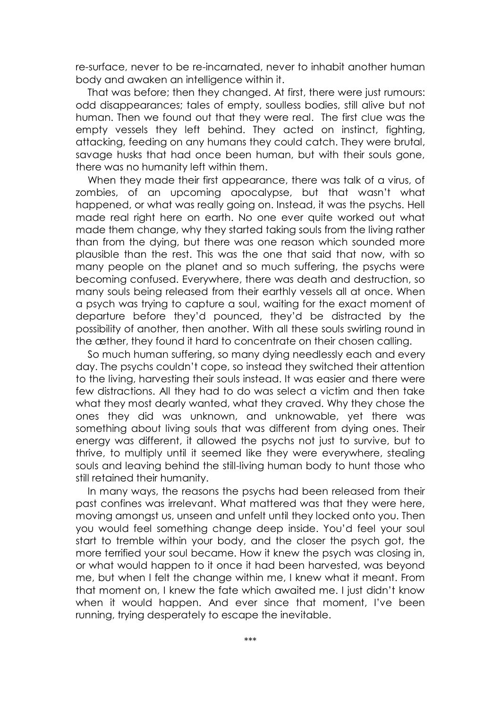re-surface, never to be re-incarnated, never to inhabit another human body and awaken an intelligence within it.

That was before; then they changed. At first, there were just rumours: odd disappearances; tales of empty, soulless bodies, still alive but not human. Then we found out that they were real. The first clue was the empty vessels they left behind. They acted on instinct, fighting, attacking, feeding on any humans they could catch. They were brutal, savage husks that had once been human, but with their souls gone, there was no humanity left within them.

When they made their first appearance, there was talk of a virus, of zombies, of an upcoming apocalypse, but that wasn't what happened, or what was really going on. Instead, it was the psychs. Hell made real right here on earth. No one ever quite worked out what made them change, why they started taking souls from the living rather than from the dying, but there was one reason which sounded more plausible than the rest. This was the one that said that now, with so many people on the planet and so much suffering, the psychs were becoming confused. Everywhere, there was death and destruction, so many souls being released from their earthly vessels all at once. When a psych was trying to capture a soul, waiting for the exact moment of departure before they'd pounced, they'd be distracted by the possibility of another, then another. With all these souls swirling round in the æther, they found it hard to concentrate on their chosen calling.

So much human suffering, so many dying needlessly each and every day. The psychs couldn't cope, so instead they switched their attention to the living, harvesting their souls instead. It was easier and there were few distractions. All they had to do was select a victim and then take what they most dearly wanted, what they craved. Why they chose the ones they did was unknown, and unknowable, yet there was something about living souls that was different from dying ones. Their energy was different, it allowed the psychs not just to survive, but to thrive, to multiply until it seemed like they were everywhere, stealing souls and leaving behind the still-living human body to hunt those who still retained their humanity.

In many ways, the reasons the psychs had been released from their past confines was irrelevant. What mattered was that they were here, moving amongst us, unseen and unfelt until they locked onto you. Then you would feel something change deep inside. You'd feel your soul start to tremble within your body, and the closer the psych got, the more terrified your soul became. How it knew the psych was closing in, or what would happen to it once it had been harvested, was beyond me, but when I felt the change within me, I knew what it meant. From that moment on, I knew the fate which awaited me. I just didn't know when it would happen. And ever since that moment, I've been running, trying desperately to escape the inevitable.